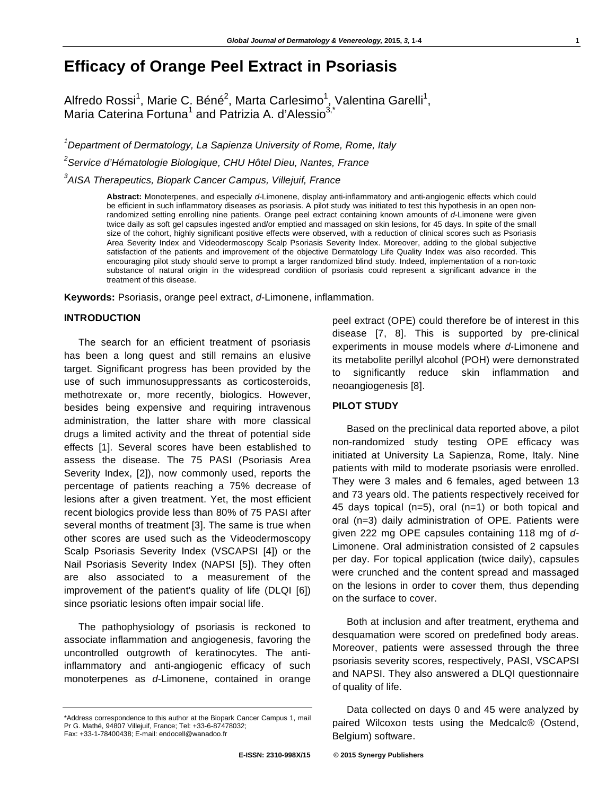# **Efficacy of Orange Peel Extract in Psoriasis**

Alfredo Rossi<sup>1</sup>, Marie C. Béné<sup>2</sup>, Marta Carlesimo<sup>1</sup>, Valentina Garelli<sup>1</sup>, Maria Caterina Fortuna<sup>1</sup> and Patrizia A. d'Alessio<sup>3,\*</sup>

*1 Department of Dermatology, La Sapienza University of Rome, Rome, Italy* 

*2 Service d'Hématologie Biologique, CHU Hôtel Dieu, Nantes, France* 

*3 AISA Therapeutics, Biopark Cancer Campus, Villejuif, France* 

**Abstract:** Monoterpenes, and especially *d*-Limonene, display anti-inflammatory and anti-angiogenic effects which could be efficient in such inflammatory diseases as psoriasis. A pilot study was initiated to test this hypothesis in an open nonrandomized setting enrolling nine patients. Orange peel extract containing known amounts of *d*-Limonene were given twice daily as soft gel capsules ingested and/or emptied and massaged on skin lesions, for 45 days. In spite of the small size of the cohort, highly significant positive effects were observed, with a reduction of clinical scores such as Psoriasis Area Severity Index and Videodermoscopy Scalp Psoriasis Severity Index. Moreover, adding to the global subjective satisfaction of the patients and improvement of the objective Dermatology Life Quality Index was also recorded. This encouraging pilot study should serve to prompt a larger randomized blind study. Indeed, implementation of a non-toxic substance of natural origin in the widespread condition of psoriasis could represent a significant advance in the treatment of this disease.

**Keywords:** Psoriasis, orange peel extract, *d*-Limonene, inflammation.

## **INTRODUCTION**

The search for an efficient treatment of psoriasis has been a long quest and still remains an elusive target. Significant progress has been provided by the use of such immunosuppressants as corticosteroids, methotrexate or, more recently, biologics. However, besides being expensive and requiring intravenous administration, the latter share with more classical drugs a limited activity and the threat of potential side effects [1]. Several scores have been established to assess the disease. The 75 PASI (Psoriasis Area Severity Index, [2]), now commonly used, reports the percentage of patients reaching a 75% decrease of lesions after a given treatment. Yet, the most efficient recent biologics provide less than 80% of 75 PASI after several months of treatment [3]. The same is true when other scores are used such as the Videodermoscopy Scalp Psoriasis Severity Index (VSCAPSI [4]) or the Nail Psoriasis Severity Index (NAPSI [5]). They often are also associated to a measurement of the improvement of the patient's quality of life (DLQI [6]) since psoriatic lesions often impair social life.

The pathophysiology of psoriasis is reckoned to associate inflammation and angiogenesis, favoring the uncontrolled outgrowth of keratinocytes. The antiinflammatory and anti-angiogenic efficacy of such monoterpenes as *d-*Limonene, contained in orange

peel extract (OPE) could therefore be of interest in this disease [7, 8]. This is supported by pre-clinical experiments in mouse models where *d*-Limonene and its metabolite perillyl alcohol (POH) were demonstrated to significantly reduce skin inflammation and neoangiogenesis [8].

## **PILOT STUDY**

Based on the preclinical data reported above, a pilot non-randomized study testing OPE efficacy was initiated at University La Sapienza, Rome, Italy. Nine patients with mild to moderate psoriasis were enrolled. They were 3 males and 6 females, aged between 13 and 73 years old. The patients respectively received for 45 days topical (n=5), oral (n=1) or both topical and oral (n=3) daily administration of OPE. Patients were given 222 mg OPE capsules containing 118 mg of *d-*Limonene. Oral administration consisted of 2 capsules per day. For topical application (twice daily), capsules were crunched and the content spread and massaged on the lesions in order to cover them, thus depending on the surface to cover.

Both at inclusion and after treatment, erythema and desquamation were scored on predefined body areas. Moreover, patients were assessed through the three psoriasis severity scores, respectively, PASI, VSCAPSI and NAPSI. They also answered a DLQI questionnaire of quality of life.

Data collected on days 0 and 45 were analyzed by paired Wilcoxon tests using the Medcalc® (Ostend, Belgium) software.

<sup>\*</sup>Address correspondence to this author at the Biopark Cancer Campus 1, mail Pr G. Mathé, 94807 Villejuif, France; Tel: +33-6-87478032; Fax: +33-1-78400438; E-mail: endocell@wanadoo.fr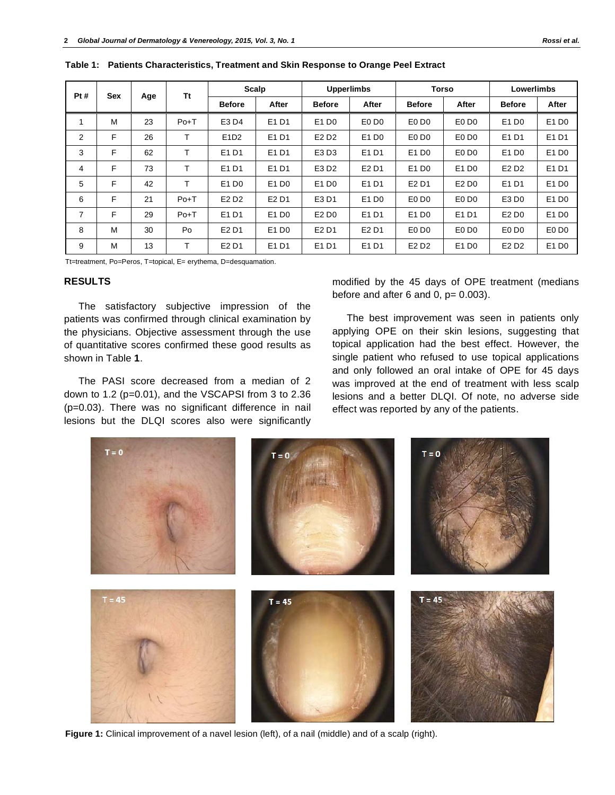| Pt# | Sex | Age | Tt     | Scalp                         |                               | <b>Upperlimbs</b>             |                               | <b>Torso</b>                  |                               | <b>Lowerlimbs</b>             |                               |
|-----|-----|-----|--------|-------------------------------|-------------------------------|-------------------------------|-------------------------------|-------------------------------|-------------------------------|-------------------------------|-------------------------------|
|     |     |     |        | <b>Before</b>                 | After                         | <b>Before</b>                 | After                         | <b>Before</b>                 | After                         | <b>Before</b>                 | After                         |
|     | M   | 23  | $Po+T$ | E3 D4                         | E1 D1                         | E1 D <sub>0</sub>             | E0 D0                         | E <sub>0</sub> D <sub>0</sub> | E <sub>0</sub> D <sub>0</sub> | E1 D <sub>0</sub>             | E1 D0                         |
| 2   | F   | 26  |        | E1D2                          | E1 D1                         | E <sub>2</sub> D <sub>2</sub> | E1 D <sub>0</sub>             | E <sub>0</sub> D <sub>0</sub> | E <sub>0</sub> D <sub>0</sub> | E1 D1                         | E1 D1                         |
| 3   | F   | 62  | ᠇      | E1 D1                         | E <sub>1</sub> D <sub>1</sub> | E3 D3                         | E1 D1                         | E1 D <sub>0</sub>             | E <sub>0</sub> D <sub>0</sub> | E1 D <sub>0</sub>             | E1 D0                         |
| 4   | F   | 73  |        | E1 D1                         | E1 D1                         | E3 D2                         | E <sub>2</sub> D <sub>1</sub> | E1 D0                         | E1 D0                         | E <sub>2</sub> D <sub>2</sub> | E1 D1                         |
| 5   | F   | 42  | т      | E1 D <sub>0</sub>             | E1 D <sub>0</sub>             | E1 D <sub>0</sub>             | E1 D1                         | E <sub>2</sub> D <sub>1</sub> | E2 D <sub>0</sub>             | E1 D1                         | E1 D0                         |
| 6   | F   | 21  | $Po+T$ | E <sub>2</sub> D <sub>2</sub> | E <sub>2</sub> D <sub>1</sub> | E3 D1                         | E1 D <sub>0</sub>             | E <sub>0</sub> D <sub>0</sub> | E <sub>0</sub> D <sub>0</sub> | E3 D0                         | E1 D0                         |
| 7   | F   | 29  | $Po+T$ | E1D1                          | E1 D <sub>0</sub>             | E2 D <sub>0</sub>             | E1 D1                         | E1 D <sub>0</sub>             | E1 D1                         | E2 D <sub>0</sub>             | E1 D0                         |
| 8   | M   | 30  | Po     | E <sub>2</sub> D <sub>1</sub> | E1 D <sub>0</sub>             | E <sub>2</sub> D <sub>1</sub> | E <sub>2</sub> D <sub>1</sub> | E0D <sub>0</sub>              | E <sub>0</sub> D <sub>0</sub> | E <sub>0</sub> D <sub>0</sub> | E <sub>0</sub> D <sub>0</sub> |
| 9   | M   | 13  | т      | E <sub>2</sub> D <sub>1</sub> | E1 D1                         | E1 D1                         | E1 D1                         | E <sub>2</sub> D <sub>2</sub> | E1 D0                         | E <sub>2</sub> D <sub>2</sub> | E1 D0                         |

**Table 1: Patients Characteristics, Treatment and Skin Response to Orange Peel Extract** 

Tt=treatment, Po=Peros, T=topical, E= erythema, D=desquamation.

## **RESULTS**

The satisfactory subjective impression of the patients was confirmed through clinical examination by the physicians. Objective assessment through the use of quantitative scores confirmed these good results as shown in Table **1**.

The PASI score decreased from a median of 2 down to 1.2 (p=0.01), and the VSCAPSI from 3 to 2.36 (p=0.03). There was no significant difference in nail lesions but the DLQI scores also were significantly

modified by the 45 days of OPE treatment (medians before and after  $6$  and  $0$ ,  $p= 0.003$ ).

The best improvement was seen in patients only applying OPE on their skin lesions, suggesting that topical application had the best effect. However, the single patient who refused to use topical applications and only followed an oral intake of OPE for 45 days was improved at the end of treatment with less scalp lesions and a better DLQI. Of note, no adverse side effect was reported by any of the patients.



**Figure 1:** Clinical improvement of a navel lesion (left), of a nail (middle) and of a scalp (right).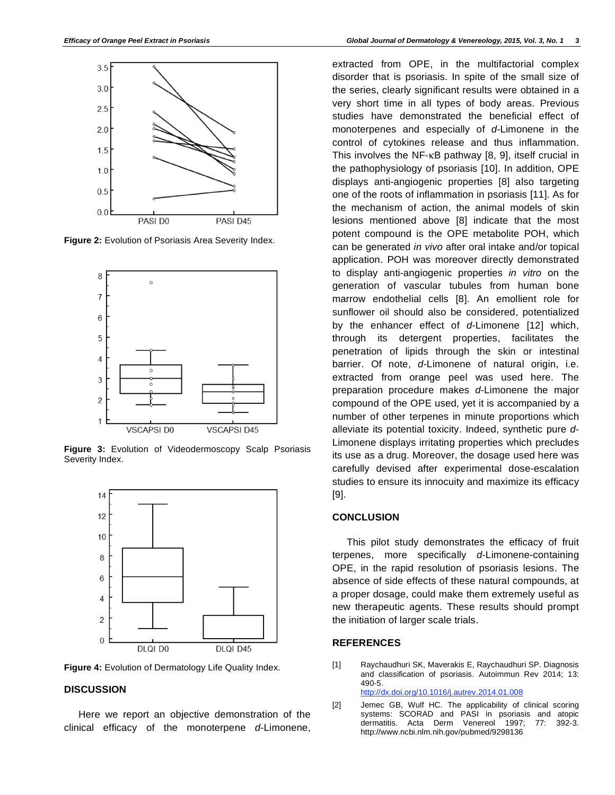

**Figure 2:** Evolution of Psoriasis Area Severity Index.



**Figure 3:** Evolution of Videodermoscopy Scalp Psoriasis Severity Index.



**Figure 4:** Evolution of Dermatology Life Quality Index.

## **DISCUSSION**

Here we report an objective demonstration of the clinical efficacy of the monoterpene *d-*Limonene, extracted from OPE, in the multifactorial complex disorder that is psoriasis. In spite of the small size of the series, clearly significant results were obtained in a very short time in all types of body areas. Previous studies have demonstrated the beneficial effect of monoterpenes and especially of *d-*Limonene in the control of cytokines release and thus inflammation. This involves the NF- $\kappa$ B pathway [8, 9], itself crucial in the pathophysiology of psoriasis [10]. In addition, OPE displays anti-angiogenic properties [8] also targeting one of the roots of inflammation in psoriasis [11]. As for the mechanism of action, the animal models of skin lesions mentioned above [8] indicate that the most potent compound is the OPE metabolite POH, which can be generated *in vivo* after oral intake and/or topical application. POH was moreover directly demonstrated to display anti-angiogenic properties *in vitro* on the generation of vascular tubules from human bone marrow endothelial cells [8]. An emollient role for sunflower oil should also be considered, potentialized by the enhancer effect of *d-*Limonene [12] which, through its detergent properties, facilitates the penetration of lipids through the skin or intestinal barrier. Of note, *d-*Limonene of natural origin, i.e. extracted from orange peel was used here. The preparation procedure makes *d*-Limonene the major compound of the OPE used, yet it is accompanied by a number of other terpenes in minute proportions which alleviate its potential toxicity. Indeed, synthetic pure *d-*Limonene displays irritating properties which precludes its use as a drug. Moreover, the dosage used here was carefully devised after experimental dose-escalation studies to ensure its innocuity and maximize its efficacy [9].

## **CONCLUSION**

This pilot study demonstrates the efficacy of fruit terpenes, more specifically *d*-Limonene-containing OPE, in the rapid resolution of psoriasis lesions. The absence of side effects of these natural compounds, at a proper dosage, could make them extremely useful as new therapeutic agents. These results should prompt the initiation of larger scale trials.

## **REFERENCES**

- [1] Raychaudhuri SK, Maverakis E, Raychaudhuri SP. Diagnosis and classification of psoriasis. Autoimmun Rev 2014; 13: 490-5. http://dx.doi.org/10.1016/j.autrev.2014.01.008
- [2] Jemec GB, Wulf HC. The applicability of clinical scoring systems: SCORAD and PASI in psoriasis and atopic dermatitis. Acta Derm Venereol 1997; 77: 392-3. http://www.ncbi.nlm.nih.gov/pubmed/9298136